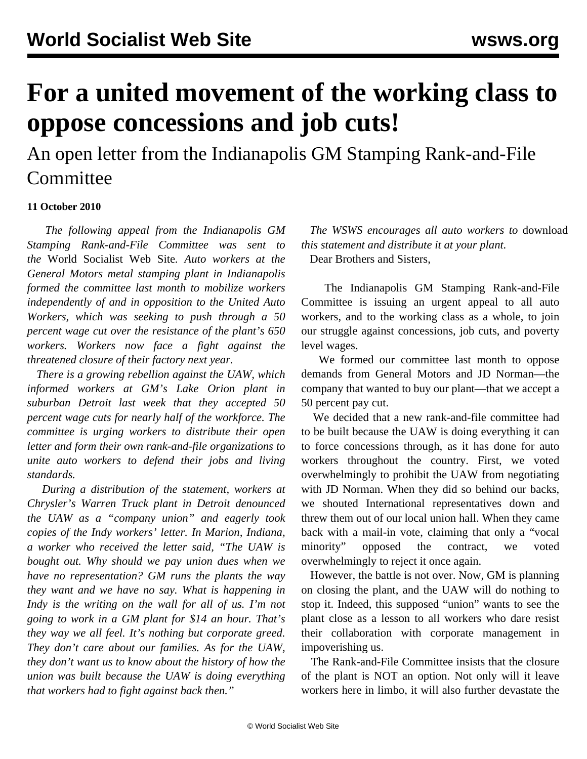## **For a united movement of the working class to oppose concessions and job cuts!**

An open letter from the Indianapolis GM Stamping Rank-and-File **Committee** 

## **11 October 2010**

 *The following appeal from the Indianapolis GM Stamping Rank-and-File Committee was sent to the* World Socialist Web Site*. Auto workers at the General Motors metal stamping plant in Indianapolis formed the committee last month to mobilize workers independently of and in opposition to the United Auto Workers, which was seeking to push through a 50 percent wage cut over the resistance of the plant's 650 workers. Workers now face a fight against the threatened closure of their factory next year.*

 *There is a growing rebellion against the UAW, which informed workers at GM's Lake Orion plant in suburban Detroit last week that they accepted 50 percent wage cuts for nearly half of the workforce. The committee is urging workers to distribute their open letter and form their own rank-and-file organizations to unite auto workers to defend their jobs and living standards.*

 *During a distribution of the statement, workers at Chrysler's Warren Truck plant in Detroit denounced the UAW as a "company union" and eagerly took copies of the Indy workers' letter. In Marion, Indiana, a worker who received the letter said, "The UAW is bought out. Why should we pay union dues when we have no representation? GM runs the plants the way they want and we have no say. What is happening in Indy is the writing on the wall for all of us. I'm not going to work in a GM plant for \$14 an hour. That's they way we all feel. It's nothing but corporate greed. They don't care about our families. As for the UAW, they don't want us to know about the history of how the union was built because the UAW is doing everything that workers had to fight against back then."*

 *The WSWS encourages all auto workers to* download *this statement and distribute it at your plant.*

Dear Brothers and Sisters,

 The Indianapolis GM Stamping Rank-and-File Committee is issuing an urgent appeal to all auto workers, and to the working class as a whole, to join our struggle against concessions, job cuts, and poverty level wages.

 We formed our committee last month to oppose demands from General Motors and JD Norman—the company that wanted to buy our plant—that we accept a 50 percent pay cut.

 We decided that a new rank-and-file committee had to be built because the UAW is doing everything it can to force concessions through, as it has done for auto workers throughout the country. First, we voted overwhelmingly to prohibit the UAW from negotiating with JD Norman. When they did so behind our backs, we shouted International representatives down and threw them out of our local union hall. When they came back with a mail-in vote, claiming that only a "vocal minority" opposed the contract, we voted overwhelmingly to reject it once again.

 However, the battle is not over. Now, GM is planning on closing the plant, and the UAW will do nothing to stop it. Indeed, this supposed "union" wants to see the plant close as a lesson to all workers who dare resist their collaboration with corporate management in impoverishing us.

 The Rank-and-File Committee insists that the closure of the plant is NOT an option. Not only will it leave workers here in limbo, it will also further devastate the